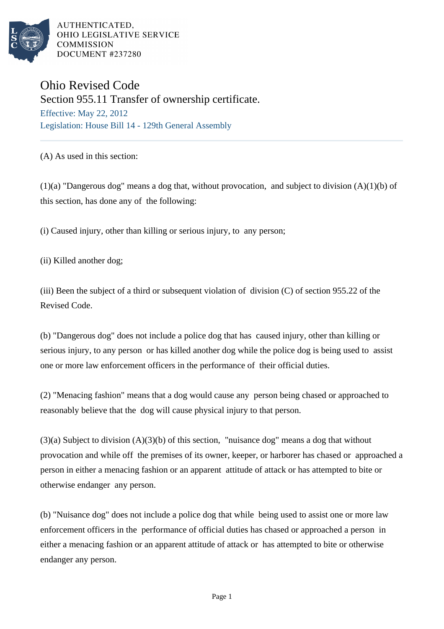

AUTHENTICATED. OHIO LEGISLATIVE SERVICE **COMMISSION** DOCUMENT #237280

## Ohio Revised Code Section 955.11 Transfer of ownership certificate. Effective: May 22, 2012

Legislation: House Bill 14 - 129th General Assembly

(A) As used in this section:

(1)(a) "Dangerous dog" means a dog that, without provocation, and subject to division (A)(1)(b) of this section, has done any of the following:

(i) Caused injury, other than killing or serious injury, to any person;

(ii) Killed another dog;

(iii) Been the subject of a third or subsequent violation of division (C) of section 955.22 of the Revised Code.

(b) "Dangerous dog" does not include a police dog that has caused injury, other than killing or serious injury, to any person or has killed another dog while the police dog is being used to assist one or more law enforcement officers in the performance of their official duties.

(2) "Menacing fashion" means that a dog would cause any person being chased or approached to reasonably believe that the dog will cause physical injury to that person.

(3)(a) Subject to division (A)(3)(b) of this section, "nuisance dog" means a dog that without provocation and while off the premises of its owner, keeper, or harborer has chased or approached a person in either a menacing fashion or an apparent attitude of attack or has attempted to bite or otherwise endanger any person.

(b) "Nuisance dog" does not include a police dog that while being used to assist one or more law enforcement officers in the performance of official duties has chased or approached a person in either a menacing fashion or an apparent attitude of attack or has attempted to bite or otherwise endanger any person.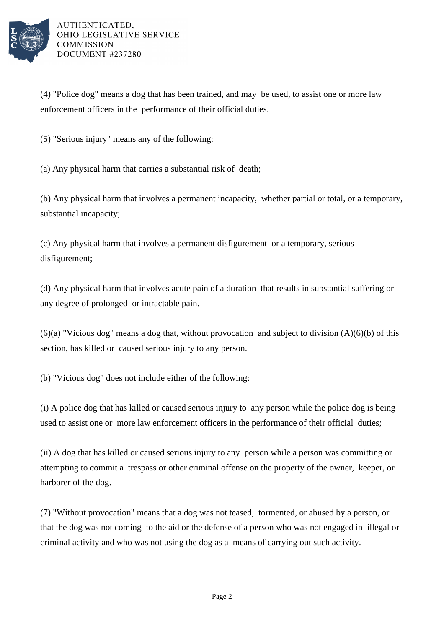

(4) "Police dog" means a dog that has been trained, and may be used, to assist one or more law enforcement officers in the performance of their official duties.

(5) "Serious injury" means any of the following:

(a) Any physical harm that carries a substantial risk of death;

(b) Any physical harm that involves a permanent incapacity, whether partial or total, or a temporary, substantial incapacity;

(c) Any physical harm that involves a permanent disfigurement or a temporary, serious disfigurement;

(d) Any physical harm that involves acute pain of a duration that results in substantial suffering or any degree of prolonged or intractable pain.

 $(6)(a)$  "Vicious dog" means a dog that, without provocation and subject to division  $(A)(6)(b)$  of this section, has killed or caused serious injury to any person.

(b) "Vicious dog" does not include either of the following:

(i) A police dog that has killed or caused serious injury to any person while the police dog is being used to assist one or more law enforcement officers in the performance of their official duties;

(ii) A dog that has killed or caused serious injury to any person while a person was committing or attempting to commit a trespass or other criminal offense on the property of the owner, keeper, or harborer of the dog.

(7) "Without provocation" means that a dog was not teased, tormented, or abused by a person, or that the dog was not coming to the aid or the defense of a person who was not engaged in illegal or criminal activity and who was not using the dog as a means of carrying out such activity.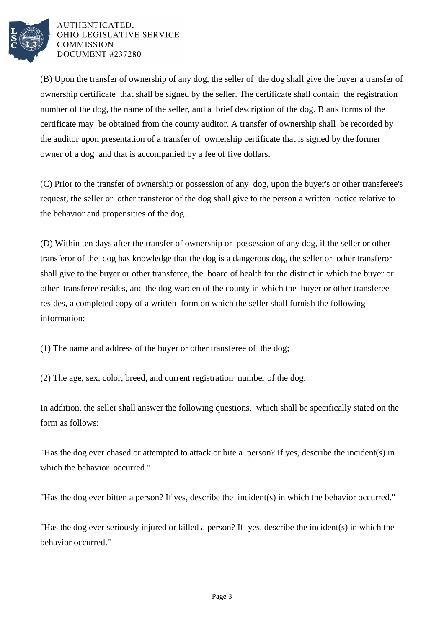

AUTHENTICATED. OHIO LEGISLATIVE SERVICE **COMMISSION** DOCUMENT #237280

(B) Upon the transfer of ownership of any dog, the seller of the dog shall give the buyer a transfer of ownership certificate that shall be signed by the seller. The certificate shall contain the registration number of the dog, the name of the seller, and a brief description of the dog. Blank forms of the certificate may be obtained from the county auditor. A transfer of ownership shall be recorded by the auditor upon presentation of a transfer of ownership certificate that is signed by the former owner of a dog and that is accompanied by a fee of five dollars.

(C) Prior to the transfer of ownership or possession of any dog, upon the buyer's or other transferee's request, the seller or other transferor of the dog shall give to the person a written notice relative to the behavior and propensities of the dog.

(D) Within ten days after the transfer of ownership or possession of any dog, if the seller or other transferor of the dog has knowledge that the dog is a dangerous dog, the seller or other transferor shall give to the buyer or other transferee, the board of health for the district in which the buyer or other transferee resides, and the dog warden of the county in which the buyer or other transferee resides, a completed copy of a written form on which the seller shall furnish the following information:

(1) The name and address of the buyer or other transferee of the dog;

(2) The age, sex, color, breed, and current registration number of the dog.

In addition, the seller shall answer the following questions, which shall be specifically stated on the form as follows:

"Has the dog ever chased or attempted to attack or bite a person? If yes, describe the incident(s) in which the behavior occurred."

"Has the dog ever bitten a person? If yes, describe the incident(s) in which the behavior occurred."

"Has the dog ever seriously injured or killed a person? If yes, describe the incident(s) in which the behavior occurred."